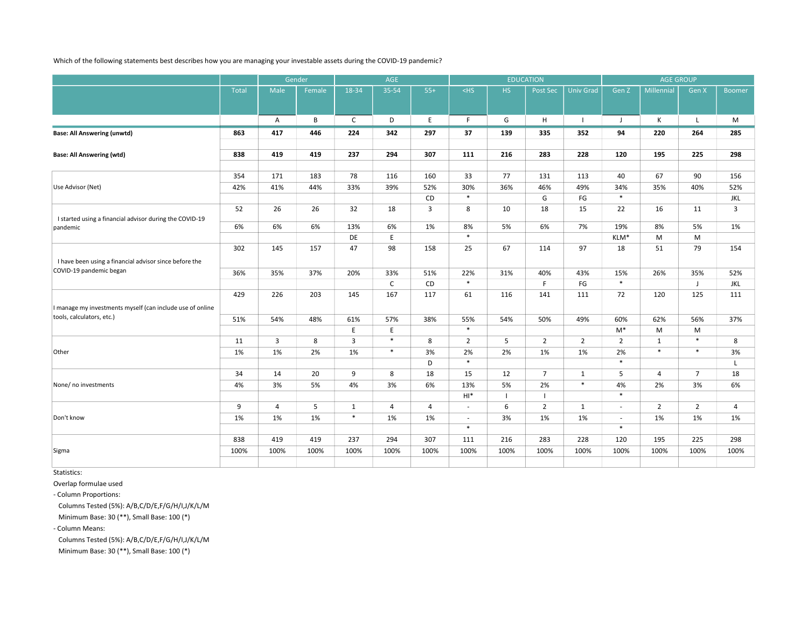Which of the following statements best describes how you are managing your investable assets during the COVID-19 pandemic?

|                                                           |       | Gender         |        | AGE            |                |                |                          |                | <b>EDUCATION</b> |                  | <b>AGE GROUP</b>         |                |                |                |
|-----------------------------------------------------------|-------|----------------|--------|----------------|----------------|----------------|--------------------------|----------------|------------------|------------------|--------------------------|----------------|----------------|----------------|
|                                                           | Total | Male           | Female | 18-34          | 35-54          | $55+$          | $<$ HS                   | HS.            | Post Sec         | <b>Univ Grad</b> | Gen Z                    | Millennial     | Gen X          | <b>Boomer</b>  |
|                                                           |       |                |        |                |                |                |                          |                |                  |                  |                          |                |                |                |
|                                                           |       | A              | B      | $\mathsf{C}$   | D              | E              | F.                       | G              | H                | $\perp$          | J                        | К              | L              | M              |
| <b>Base: All Answering (unwtd)</b>                        | 863   | 417            | 446    | 224            | 342            | 297            | 37                       | 139            | 335              | 352              | 94                       | 220            | 264            | 285            |
|                                                           |       |                |        |                |                |                |                          |                |                  |                  |                          |                |                |                |
| <b>Base: All Answering (wtd)</b>                          | 838   | 419            | 419    | 237            | 294            | 307            | 111                      | 216            | 283              | 228              | 120                      | 195            | 225            | 298            |
|                                                           |       |                |        |                |                |                |                          |                |                  |                  |                          |                |                |                |
|                                                           | 354   | 171            | 183    | 78             | 116            | 160            | 33                       | 77             | 131              | 113              | 40                       | 67             | 90             | 156            |
| Use Advisor (Net)                                         | 42%   | 41%            | 44%    | 33%            | 39%            | 52%            | 30%                      | 36%            | 46%              | 49%              | 34%                      | 35%            | 40%            | 52%            |
|                                                           |       |                |        |                |                | CD             | $\ast$                   |                | G                | FG               | $\ast$                   |                |                | JKL            |
|                                                           | 52    | 26             | 26     | 32             | 18             | 3              | 8                        | 10             | 18               | 15               | 22                       | 16             | 11             | $\overline{3}$ |
| I started using a financial advisor during the COVID-19   |       |                |        |                |                |                |                          |                |                  |                  |                          |                |                |                |
| pandemic                                                  | 6%    | 6%             | 6%     | 13%            | 6%             | 1%             | 8%                       | 5%             | 6%               | 7%               | 19%                      | 8%             | 5%             | 1%             |
|                                                           |       |                |        | DE             | $\mathsf E$    |                | $\ast$                   |                |                  |                  | KLM*                     | M              | M              |                |
|                                                           | 302   | 145            | 157    | 47             | 98             | 158            | 25                       | 67             | 114              | 97               | 18                       | 51             | 79             | 154            |
| I have been using a financial advisor since before the    |       |                |        |                |                |                |                          |                |                  |                  |                          |                |                |                |
| COVID-19 pandemic began                                   | 36%   | 35%            | 37%    | 20%            | 33%            | 51%            | 22%                      | 31%            | 40%              | 43%              | 15%                      | 26%            | 35%            | 52%            |
|                                                           |       |                |        |                | $\mathsf C$    | CD             | $\ast$                   |                | F                | $\mathsf{FG}$    | $\ast$                   |                | J              | JKL            |
|                                                           | 429   | 226            | 203    | 145            | 167            | 117            | 61                       | 116            | 141              | 111              | 72                       | 120            | 125            | 111            |
| I manage my investments myself (can include use of online |       |                |        |                |                |                |                          |                |                  |                  |                          |                |                |                |
| tools, calculators, etc.)                                 | 51%   | 54%            | 48%    | 61%            | 57%            | 38%            | 55%                      | 54%            | 50%              | 49%              | 60%                      | 62%            | 56%            | 37%            |
|                                                           |       |                |        | E              | E              |                | $\ast$                   |                |                  |                  | $M^*$                    | M              | M              |                |
|                                                           | 11    | 3              | 8      | $\overline{3}$ | $\ast$         | 8              | $\overline{2}$           | 5              | $\overline{2}$   | $\overline{2}$   | $\overline{2}$           | $\mathbf{1}$   | $\ast$         | 8              |
| Other                                                     | 1%    | 1%             | 2%     | 1%             | $\ast$         | 3%             | 2%                       | 2%             | 1%               | 1%               | 2%                       | $\ast$         | $\ast$         | 3%             |
|                                                           |       |                |        |                |                | D              | $\ast$                   |                |                  |                  | $\ast$                   |                |                | $\mathsf{L}$   |
|                                                           | 34    | 14             | 20     | 9              | 8              | 18             | 15                       | 12             | $\overline{7}$   | $\mathbf{1}$     | 5                        | $\overline{4}$ | $\overline{7}$ | 18             |
| None/ no investments                                      | 4%    | 3%             | 5%     | 4%             | 3%             | 6%             | 13%                      | 5%             | 2%               | $\ast$           | 4%                       | 2%             | 3%             | 6%             |
|                                                           |       |                |        |                |                |                | $HI*$                    | $\blacksquare$ | $\overline{1}$   |                  | $\ast$                   |                |                |                |
|                                                           | 9     | $\overline{4}$ | 5      | $\mathbf{1}$   | $\overline{4}$ | $\overline{4}$ | $\overline{\phantom{a}}$ | 6              | $\overline{2}$   | $\mathbf{1}$     | $\sim$                   | $\overline{2}$ | $\overline{2}$ | $\overline{4}$ |
| Don't know                                                | 1%    | 1%             | 1%     | $\ast$         | 1%             | 1%             | $\overline{\phantom{a}}$ | 3%             | 1%               | 1%               | $\overline{\phantom{a}}$ | 1%             | 1%             | 1%             |
|                                                           |       |                |        |                |                |                | $\ast$                   |                |                  |                  | $\ast$                   |                |                |                |
|                                                           | 838   | 419            | 419    | 237            | 294            | 307            | 111                      | 216            | 283              | 228              | 120                      | 195            | 225            | 298            |
| Sigma                                                     | 100%  | 100%           | 100%   | 100%           | 100%           | 100%           | 100%                     | 100%           | 100%             | 100%             | 100%                     | 100%           | 100%           | 100%           |
|                                                           |       |                |        |                |                |                |                          |                |                  |                  |                          |                |                |                |

Statistics:

Overlap formulae used

- Column Proportions:

Columns Tested (5%): A/B,C/D/E,F/G/H/I,J/K/L/M

Minimum Base: 30 (\*\*), Small Base: 100 (\*)

- Column Means:

Columns Tested (5%): A/B,C/D/E,F/G/H/I,J/K/L/M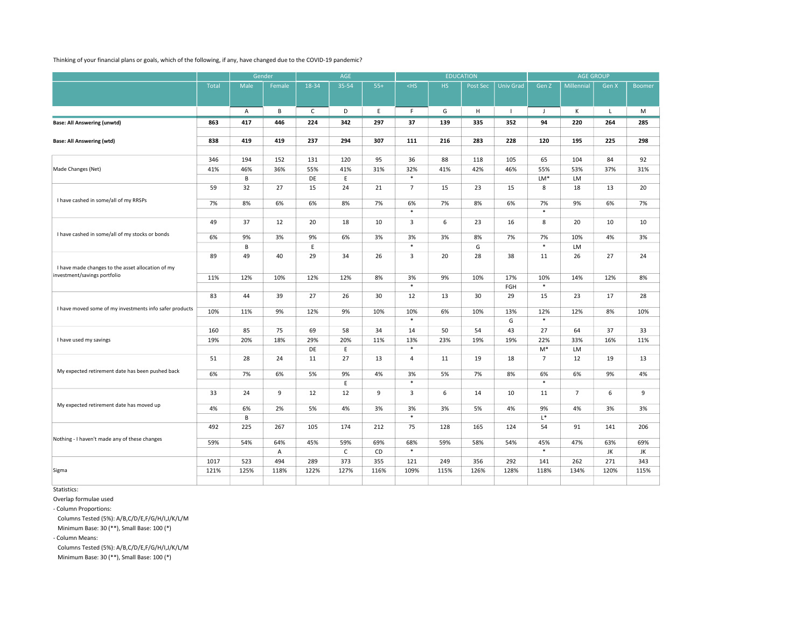## Thinking of your financial plans or goals, which of the following, if any, have changed due to the COVID-19 pandemic?

|                                                         |       | Gender  |        | AGE          |              |       |                |      | <b>EDUCATION</b> |                  |                |                |              |               |
|---------------------------------------------------------|-------|---------|--------|--------------|--------------|-------|----------------|------|------------------|------------------|----------------|----------------|--------------|---------------|
|                                                         | Total | Male    | Female | 18-34        | 35-54        | $55+$ | $<$ HS         | HS.  | Post Sec         | <b>Univ Grad</b> | Gen Z          | Millennial     | Gen X        | <b>Boomer</b> |
|                                                         |       |         |        |              |              |       |                |      |                  |                  |                |                |              |               |
|                                                         |       | A       | B      | $\mathsf{C}$ | D            | E     | F              | G    | H                | $\Box$           | $\mathbf{J}$   | К              | $\mathsf{L}$ | M             |
| <b>Base: All Answering (unwtd)</b>                      | 863   | 417     | 446    | 224          | 342          | 297   | 37             | 139  | 335              | 352              | 94             | 220            | 264          | 285           |
|                                                         |       |         |        |              |              |       |                |      |                  |                  |                |                |              |               |
| <b>Base: All Answering (wtd)</b>                        | 838   | 419     | 419    | 237          | 294          | 307   | 111            | 216  | 283              | 228              | 120            | 195            | 225          | 298           |
|                                                         |       |         |        |              |              |       |                |      |                  |                  |                |                |              |               |
|                                                         | 346   | 194     | 152    | 131          | 120          | 95    | 36             | 88   | 118              | 105              | 65             | 104            | 84           | 92            |
| Made Changes (Net)                                      | 41%   | 46%     | 36%    | 55%          | 41%          | 31%   | 32%            | 41%  | 42%              | 46%              | 55%            | 53%            | 37%          | 31%           |
|                                                         |       | B       |        | DE           | E            |       | $\ast$         |      |                  |                  | LM*            | LM             |              |               |
|                                                         | 59    | 32      | 27     | 15           | 24           | 21    | $\overline{7}$ | 15   | 23               | 15               | $\,$ 8 $\,$    | 18             | 13           | 20            |
| I have cashed in some/all of my RRSPs                   | 7%    | 8%      | 6%     | 6%           | 8%           | 7%    | 6%             | 7%   | 8%               | 6%               | 7%             | 9%             | 6%           | 7%            |
|                                                         |       |         |        |              |              |       | $\ast$         |      |                  |                  | $\ast$         |                |              |               |
|                                                         | 49    | 37      | 12     | 20           | 18           | 10    | 3              | 6    | 23               | 16               | 8              | 20             | 10           | 10            |
|                                                         |       |         |        |              |              |       |                |      |                  |                  |                |                |              |               |
| I have cashed in some/all of my stocks or bonds         | 6%    | 9%      | 3%     | 9%           | 6%           | 3%    | 3%             | 3%   | 8%               | 7%               | 7%             | 10%            | 4%           | 3%            |
|                                                         |       | B       |        | E            |              |       | $\ast$         |      | G                |                  | $\ast$         | LM             |              |               |
|                                                         | 89    | 49      | 40     | 29           | 34           | 26    | 3              | 20   | 28               | 38               | 11             | 26             | 27           | 24            |
| I have made changes to the asset allocation of my       |       |         |        |              |              |       |                |      |                  |                  |                |                |              |               |
| investment/savings portfolio                            | 11%   | 12%     | 10%    | 12%          | 12%          | 8%    | 3%             | 9%   | 10%              | 17%              | 10%            | 14%            | 12%          | 8%            |
|                                                         |       |         |        |              |              |       | $\ast$         |      |                  | FGH              | $\ast$         |                |              |               |
|                                                         | 83    | 44      | 39     | 27           | 26           | 30    | 12             | 13   | 30               | 29               | 15             | 23             | 17           | 28            |
| I have moved some of my investments info safer products | 10%   |         |        |              |              |       |                |      |                  |                  |                |                |              |               |
|                                                         |       | 11%     | 9%     | 12%          | 9%           | 10%   | 10%<br>$\ast$  | 6%   | 10%              | 13%<br>G         | 12%<br>$\ast$  | 12%            | 8%           | 10%           |
|                                                         | 160   | 85      | 75     | 69           | 58           | 34    | 14             | 50   | 54               | 43               | 27             | 64             | 37           | 33            |
| I have used my savings                                  | 19%   | 20%     | 18%    | 29%          | 20%          | 11%   | 13%            | 23%  | 19%              | 19%              | 22%            | 33%            | 16%          | 11%           |
|                                                         |       |         |        | DE           | E            |       | $\ast$         |      |                  |                  | M*             | LM             |              |               |
|                                                         | 51    | 28      | 24     | 11           | 27           | 13    | $\overline{a}$ | 11   | 19               | 18               | $\overline{7}$ | 12             | 19           | 13            |
|                                                         |       |         |        |              |              |       |                |      |                  |                  |                |                |              |               |
| My expected retirement date has been pushed back        | 6%    | 7%      | 6%     | 5%           | 9%           | 4%    | 3%             | 5%   | 7%               | 8%               | 6%             | 6%             | 9%           | 4%            |
|                                                         |       |         |        |              | E            |       | $\ast$         |      |                  |                  | $\ast$         |                |              |               |
|                                                         | 33    | 24      | 9      | 12           | 12           | 9     | 3              | 6    | 14               | 10               | 11             | $\overline{7}$ | 6            | 9             |
| My expected retirement date has moved up                |       |         |        |              |              |       |                |      |                  |                  |                |                |              |               |
|                                                         | 4%    | 6%<br>B | 2%     | 5%           | 4%           | 3%    | 3%<br>$\ast$   | 3%   | 5%               | 4%               | 9%<br>$L^*$    | 4%             | 3%           | 3%            |
|                                                         |       |         |        |              |              |       |                |      |                  |                  | 54             | 91             |              |               |
|                                                         | 492   | 225     | 267    | 105          | 174          | 212   | 75             | 128  | 165              | 124              |                |                | 141          | 206           |
| Nothing - I haven't made any of these changes           | 59%   | 54%     | 64%    | 45%          | 59%          | 69%   | 68%            | 59%  | 58%              | 54%              | 45%            | 47%            | 63%          | 69%           |
|                                                         |       |         | Α      |              | $\mathsf{C}$ | CD    | $\ast$         |      |                  |                  | $\ast$         |                | JK           | JK            |
|                                                         | 1017  | 523     | 494    | 289          | 373          | 355   | 121            | 249  | 356              | 292              | 141            | 262            | 271          | 343           |
| Sigma                                                   | 121%  | 125%    | 118%   | 122%         | 127%         | 116%  | 109%           | 115% | 126%             | 128%             | 118%           | 134%           | 120%         | 115%          |
|                                                         |       |         |        |              |              |       |                |      |                  |                  |                |                |              |               |

Statistics:

Overlap formulae used

- Column Proportions:

Columns Tested (5%): A/B,C/D/E,F/G/H/I,J/K/L/M

Minimum Base: 30 (\*\*), Small Base: 100 (\*)

- Column Means:

Columns Tested (5%): A/B,C/D/E,F/G/H/I,J/K/L/M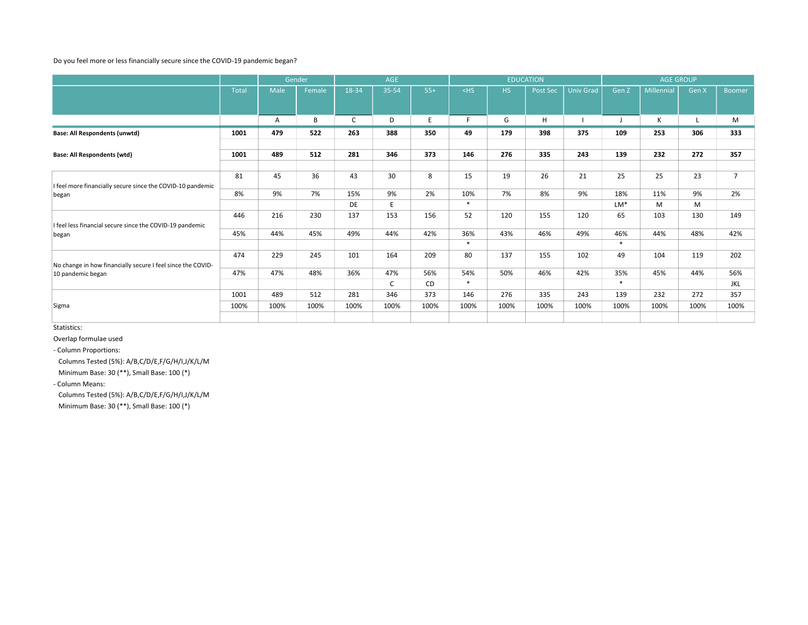## Do you feel more or less financially secure since the COVID-19 pandemic began?

|                                                                     |              | Gender |        | AGE   |              |       |        | <b>EDUCATION</b> |          |                  | <b>AGE GROUP</b> |            |       |                |  |
|---------------------------------------------------------------------|--------------|--------|--------|-------|--------------|-------|--------|------------------|----------|------------------|------------------|------------|-------|----------------|--|
|                                                                     | <b>Total</b> | Male   | Female | 18-34 | 35-54        | $55+$ | $<$ HS | <b>HS</b>        | Post Sec | <b>Univ Grad</b> | Gen Z            | Millennial | Gen X | <b>Boomer</b>  |  |
|                                                                     |              |        |        |       |              |       |        |                  |          |                  |                  |            |       |                |  |
|                                                                     |              | A      | В      | C     | D            | E.    | F      | G                | H        |                  |                  | К          |       | M              |  |
| Base: All Respondents (unwtd)                                       | 1001         | 479    | 522    | 263   | 388          | 350   | 49     | 179              | 398      | 375              | 109              | 253        | 306   | 333            |  |
|                                                                     |              |        |        |       |              |       |        |                  |          |                  |                  |            |       |                |  |
| <b>Base: All Respondents (wtd)</b>                                  | 1001         | 489    | 512    | 281   | 346          | 373   | 146    | 276              | 335      | 243              | 139              | 232        | 272   | 357            |  |
|                                                                     |              |        |        |       |              |       |        |                  |          |                  |                  |            |       |                |  |
| I feel more financially secure since the COVID-10 pandemic<br>began | 81           | 45     | 36     | 43    | 30           | 8     | 15     | 19               | 26       | 21               | 25               | 25         | 23    | $\overline{7}$ |  |
|                                                                     | 8%           | 9%     | 7%     | 15%   | 9%           | 2%    | 10%    | 7%               | 8%       | 9%               | 18%              | 11%        | 9%    | 2%             |  |
|                                                                     |              |        |        | DE    | E            |       | $*$    |                  |          |                  | $LM*$            | M          | M     |                |  |
| I feel less financial secure since the COVID-19 pandemic            | 446          | 216    | 230    | 137   | 153          | 156   | 52     | 120              | 155      | 120              | 65               | 103        | 130   | 149            |  |
| began                                                               | 45%          | 44%    | 45%    | 49%   | 44%          | 42%   | 36%    | 43%              | 46%      | 49%              | 46%              | 44%        | 48%   | 42%            |  |
|                                                                     |              |        |        |       |              |       | $*$    |                  |          |                  | $*$              |            |       |                |  |
| No change in how financially secure I feel since the COVID-         | 474          | 229    | 245    | 101   | 164          | 209   | 80     | 137              | 155      | 102              | 49               | 104        | 119   | 202            |  |
| 10 pandemic began                                                   | 47%          | 47%    | 48%    | 36%   | 47%          | 56%   | 54%    | 50%              | 46%      | 42%              | 35%              | 45%        | 44%   | 56%            |  |
|                                                                     |              |        |        |       | $\mathsf{C}$ | CD    | $*$    |                  |          |                  | $*$              |            |       | JKL            |  |
|                                                                     | 1001         | 489    | 512    | 281   | 346          | 373   | 146    | 276              | 335      | 243              | 139              | 232        | 272   | 357            |  |
| Sigma                                                               | 100%         | 100%   | 100%   | 100%  | 100%         | 100%  | 100%   | 100%             | 100%     | 100%             | 100%             | 100%       | 100%  | 100%           |  |
|                                                                     |              |        |        |       |              |       |        |                  |          |                  |                  |            |       |                |  |

Statistics:

Overlap formulae used

- Column Proportions:

Columns Tested (5%): A/B,C/D/E,F/G/H/I,J/K/L/M

Minimum Base: 30 (\*\*), Small Base: 100 (\*)

- Column Means:

Columns Tested (5%): A/B,C/D/E,F/G/H/I,J/K/L/M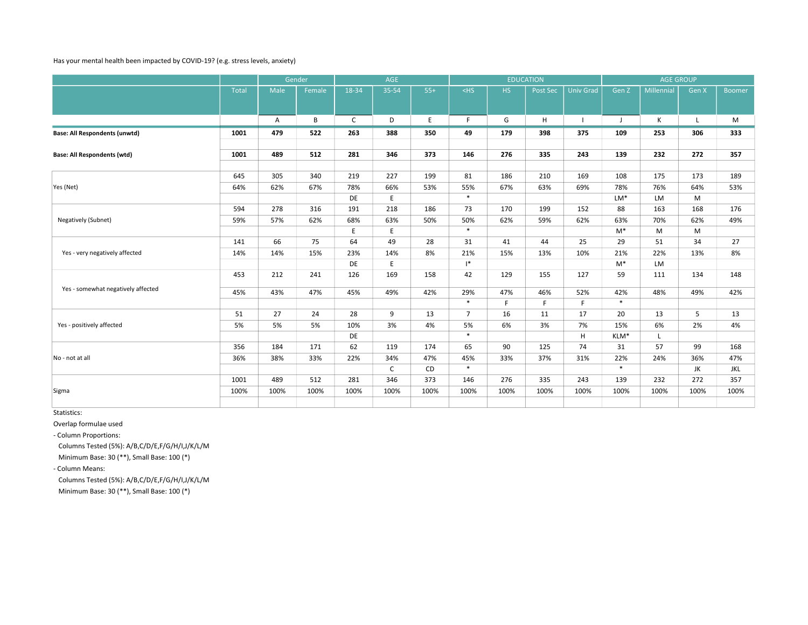## Has your mental health been impacted by COVID-19? (e.g. stress levels, anxiety)

|                                      |       |      | Gender | AGE          |              |       |                | <b>EDUCATION</b> |          |                  | <b>AGE GROUP</b> |            |              |               |
|--------------------------------------|-------|------|--------|--------------|--------------|-------|----------------|------------------|----------|------------------|------------------|------------|--------------|---------------|
|                                      | Total | Male | Female | 18-34        | 35-54        | $55+$ | $<$ HS         | <b>HS</b>        | Post Sec | <b>Univ Grad</b> | Gen Z            | Millennial | Gen X        | <b>Boomer</b> |
|                                      |       |      |        |              |              |       |                |                  |          |                  |                  |            |              |               |
|                                      |       | Α    | B      | $\mathsf{C}$ | D            | E     | F.             | G                | H        |                  | J                | К          | $\mathsf{L}$ | M             |
| <b>Base: All Respondents (unwtd)</b> | 1001  | 479  | 522    | 263          | 388          | 350   | 49             | 179              | 398      | 375              | 109              | 253        | 306          | 333           |
|                                      | 1001  | 489  | 512    | 281          | 346          | 373   | 146            | 276              | 335      | 243              | 139              | 232        | 272          | 357           |
| <b>Base: All Respondents (wtd)</b>   |       |      |        |              |              |       |                |                  |          |                  |                  |            |              |               |
|                                      | 645   | 305  | 340    | 219          | 227          | 199   | 81             | 186              | 210      | 169              | 108              | 175        | 173          | 189           |
| Yes (Net)                            | 64%   | 62%  | 67%    | 78%          | 66%          | 53%   | 55%            | 67%              | 63%      | 69%              | 78%              | 76%        | 64%          | 53%           |
|                                      |       |      |        | DE           | E            |       | $*$            |                  |          |                  | $LM*$            | LM         | M            |               |
| Negatively (Subnet)                  | 594   | 278  | 316    | 191          | 218          | 186   | 73             | 170              | 199      | 152              | 88               | 163        | 168          | 176           |
|                                      | 59%   | 57%  | 62%    | 68%          | 63%          | 50%   | 50%            | 62%              | 59%      | 62%              | 63%              | 70%        | 62%          | 49%           |
|                                      |       |      |        | E            | E            |       | $*$            |                  |          |                  | $M^*$            | M          | M            |               |
|                                      | 141   | 66   | 75     | 64           | 49           | 28    | 31             | 41               | 44       | 25               | 29               | 51         | 34           | 27            |
| Yes - very negatively affected       | 14%   | 14%  | 15%    | 23%          | 14%          | 8%    | 21%            | 15%              | 13%      | 10%              | 21%              | 22%        | 13%          | 8%            |
|                                      |       |      |        | DE           | E            |       | $\mathsf{I}^*$ |                  |          |                  | $M^*$            | <b>LM</b>  |              |               |
|                                      | 453   | 212  | 241    | 126          | 169          | 158   | 42             | 129              | 155      | 127              | 59               | 111        | 134          | 148           |
| Yes - somewhat negatively affected   | 45%   | 43%  | 47%    | 45%          | 49%          | 42%   | 29%            | 47%              | 46%      | 52%              | 42%              | 48%        | 49%          | 42%           |
|                                      |       |      |        |              |              |       | $*$            | F                | F        | F                | $*$              |            |              |               |
|                                      | 51    | 27   | 24     | 28           | 9            | 13    | $\overline{7}$ | 16               | 11       | 17               | 20               | 13         | 5            | 13            |
| Yes - positively affected            | 5%    | 5%   | 5%     | 10%          | 3%           | 4%    | 5%             | 6%               | 3%       | 7%               | 15%              | 6%         | 2%           | 4%            |
|                                      |       |      |        | DE           |              |       | $\ast$         |                  |          | H                | KLM*             | L          |              |               |
|                                      | 356   | 184  | 171    | 62           | 119          | 174   | 65             | 90               | 125      | 74               | 31               | 57         | 99           | 168           |
| No - not at all                      | 36%   | 38%  | 33%    | 22%          | 34%          | 47%   | 45%            | 33%              | 37%      | 31%              | 22%              | 24%        | 36%          | 47%           |
|                                      |       |      |        |              | $\mathsf{C}$ | CD    | $*$            |                  |          |                  | $\ast$           |            | JK           | JKL           |
|                                      | 1001  | 489  | 512    | 281          | 346          | 373   | 146            | 276              | 335      | 243              | 139              | 232        | 272          | 357           |
| Sigma                                | 100%  | 100% | 100%   | 100%         | 100%         | 100%  | 100%           | 100%             | 100%     | 100%             | 100%             | 100%       | 100%         | 100%          |
|                                      |       |      |        |              |              |       |                |                  |          |                  |                  |            |              |               |

Statistics:

Overlap formulae used

- Column Proportions:

Columns Tested (5%): A/B,C/D/E,F/G/H/I,J/K/L/M

Minimum Base: 30 (\*\*), Small Base: 100 (\*)

- Column Means:

Columns Tested (5%): A/B,C/D/E,F/G/H/I,J/K/L/M